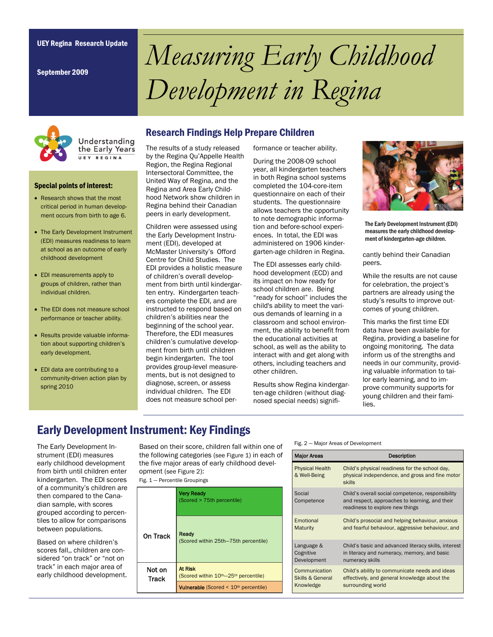September 2009

# UEY Regina Research Update *Measuring Early Childhood Development in Regina*



Understanding the Early Years UEY REGINA

Special points of interest:

- Research shows that the most critical period in human development occurs from birth to age 6.
- The Early Development Instrument (EDI) measures readiness to learn at school as an outcome of early childhood development
- EDI measurements apply to groups of children, rather than individual children.
- The EDI does not measure school performance or teacher ability.
- Results provide valuable information about supporting children's early development.
- EDI data are contributing to a community-driven action plan by spring 2010

#### Research Findings Help Prepare Children

The results of a study released by the Regina Qu'Appelle Health Region, the Regina Regional Intersectoral Committee, the United Way of Regina, and the Regina and Area Early Childhood Network show children in Regina behind their Canadian peers in early development.

Children were assessed using the Early Development Instrument (EDI), developed at McMaster University's Offord Centre for Child Studies. The EDI provides a holistic measure of children's overall development from birth until kindergarten entry. Kindergarten teachers complete the EDI, and are instructed to respond based on children's abilities near the beginning of the school year. Therefore, the EDI measures children's cumulative development from birth until children begin kindergarten. The tool provides group-level measurements, but is not designed to diagnose, screen, or assess individual children. The EDI does not measure school performance or teacher ability.

During the 2008-09 school year, all kindergarten teachers in both Regina school systems completed the 104-core-item questionnaire on each of their students. The questionnaire allows teachers the opportunity to note demographic information and before-school experiences. In total, the EDI was administered on 1906 kindergarten-age children in Regina.

The EDI assesses early childhood development (ECD) and its impact on how ready for school children are. Being "ready for school" includes the child's ability to meet the various demands of learning in a classroom and school environment, the ability to benefit from the educational activities at school, as well as the ability to interact with and get along with others, including teachers and other children.

Results show Regina kindergarten-age children (without diagnosed special needs) signifi-



The Early Development Instrument (EDI) measures the early childhood development of kindergarten-age children.

cantly behind their Canadian peers.

While the results are not cause for celebration, the project's partners are already using the study's results to improve outcomes of young children.

This marks the first time EDI data have been available for Regina, providing a baseline for ongoing monitoring. The data inform us of the strengths and needs in our community, providing valuable information to tailor early learning, and to improve community supports for young children and their families.

# Early Development Instrument: Key Findings

The Early Development Instrument (EDI) measures early childhood development from birth until children enter kindergarten. The EDI scores of a community's children are then compared to the Canadian sample, with scores grouped according to percentiles to allow for comparisons between populations.

Based on where children's scores fall,, children are considered "on track" or "not on track" in each major area of early childhood development.

Based on their score, children fall within one of the following categories (see Figure 1) in each of the five major areas of early childhood development (see Figure 2):

Fig. 1 — Percentile Groupings

|                        | <b>Very Ready</b><br>(Scored > 75th percentile)               |  |
|------------------------|---------------------------------------------------------------|--|
| On Track               | Ready<br>(Scored within 25th-75th percentile)                 |  |
| Not on<br><b>Track</b> | <b>At Risk</b><br>(Scored within 10th-25th percentile)        |  |
|                        | <b>Vulnerable</b> (Scored $\leq 10$ <sup>th</sup> percentile) |  |

#### Fig. 2 — Major Areas of Development

| <b>Major Areas</b>                     | Description                                                                                                                            |
|----------------------------------------|----------------------------------------------------------------------------------------------------------------------------------------|
| <b>Physical Health</b><br>& Well-Being | Child's physical readiness for the school day,<br>physical independence, and gross and fine motor<br>skills                            |
| Social<br>Competence                   | Child's overall social competence, responsibility<br>and respect, approaches to learning, and their<br>readiness to explore new things |
| Emotional                              | Child's prosocial and helping behaviour, anxious                                                                                       |
| Maturity                               | and fearful behaviour, aggressive behaviour, and                                                                                       |
| Language &                             | Child's basic and advanced literacy skills, interest                                                                                   |
| Cognitive                              | in literacy and numeracy, memory, and basic                                                                                            |
| Development                            | numeracy skills                                                                                                                        |
| Communication                          | Child's ability to communicate needs and ideas                                                                                         |
| Skills & General                       | effectively, and general knowledge about the                                                                                           |
| Knowledge                              | surrounding world                                                                                                                      |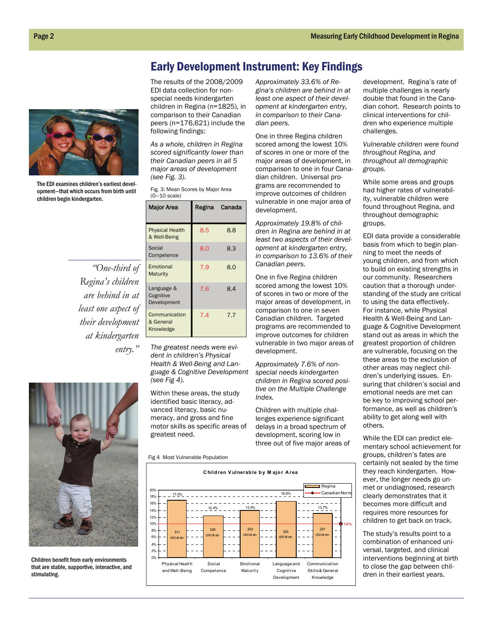### Early Development Instrument: Key Findings



The EDI examines children's earliest development—that which occurs from birth until children begin kindergarten.

*"One-third of Regina's children are behind in at least one aspect of their development at kindergarten entry."* 



Children benefit from early environments that are stable, supportive, interactive, and stimulating.

The results of the 2008/2009 EDI data collection for nonspecial needs kindergarten children in Regina (n=1825), in comparison to their Canadian peers (n=176,621) include the following findings:

*As a whole, children in Regina scored significantly lower than their Canadian peers in all 5 major areas of development (see Fig. 3).* 

| Fig. 3: Mean Scores by Major Area |  |
|-----------------------------------|--|
| $(0 - 10 \text{ scale})$          |  |

| <b>Major Area</b>                       |     | Regina Canada |
|-----------------------------------------|-----|---------------|
| <b>Physical Health</b><br>& Well-Being  | 8.5 | 8.8           |
| Social<br>Competence                    | 8.0 | 8.3           |
| Emotional<br>Maturity                   | 7.9 | 8.0           |
| Language &<br>Cognitive<br>Development  | 7.6 | 8.4           |
| Communication<br>& General<br>Knowledge | 7.4 | 7.7           |

*The greatest needs were evident in children's Physical Health & Well-Being and Language & Cognitive Development (see Fig 4).*

Within these areas, the study identified basic literacy, advanced literacy, basic numeracy, and gross and fine motor skills as specific areas of greatest need.

Fig 4 Most Vulnerable Population



*Approximately 33.6% of Regina's children are behind in at least one aspect of their development at kindergarten entry, in comparison to their Canadian peers.* 

One in three Regina children scored among the lowest 10% of scores in one or more of the major areas of development, in comparison to one in four Canadian children. Universal programs are recommended to improve outcomes of children vulnerable in one major area of development.

*Approximately 19.8% of children in Regina are behind in at least two aspects of their development at kindergarten entry, in comparison to 13.6% of their Canadian peers.*

One in five Regina children scored among the lowest 10% of scores in two or more of the major areas of development, in comparison to one in seven Canadian children. Targeted programs are recommended to improve outcomes for children vulnerable in two major areas of development.

*Approximately 7.6% of nonspecial needs kindergarten children in Regina scored positive on the Multiple Challenge Index.* 

Children with multiple challenges experience significant delays in a broad spectrum of development, scoring low in three out of five major areas of development. Regina's rate of multiple challenges is nearly double that found in the Canadian cohort. Research points to clinical interventions for children who experience multiple challenges.

*Vulnerable children were found throughout Regina, and throughout all demographic groups.* 

While some areas and groups had higher rates of vulnerability, vulnerable children were found throughout Regina, and throughout demographic groups.

EDI data provide a considerable basis from which to begin planning to meet the needs of young children, and from which to build on existing strengths in our community. Researchers caution that a thorough understanding of the study are critical to using the data effectively. For instance, while Physical Health & Well-Being and Language & Cognitive Development stand out as areas in which the greatest proportion of children are vulnerable, focusing on the these areas to the exclusion of other areas may neglect children's underlying issues. Ensuring that children's social and emotional needs are met can be key to improving school performance, as well as children's ability to get along well with others.

While the EDI can predict elementary school achievement for groups, children's fates are certainly not sealed by the time they reach kindergarten. However, the longer needs go unmet or undiagnosed, research clearly demonstrates that it becomes more difficult and requires more resources for children to get back on track.

The study's results point to a combination of enhanced universal, targeted, and clinical interventions beginning at birth to close the gap between children in their earliest years.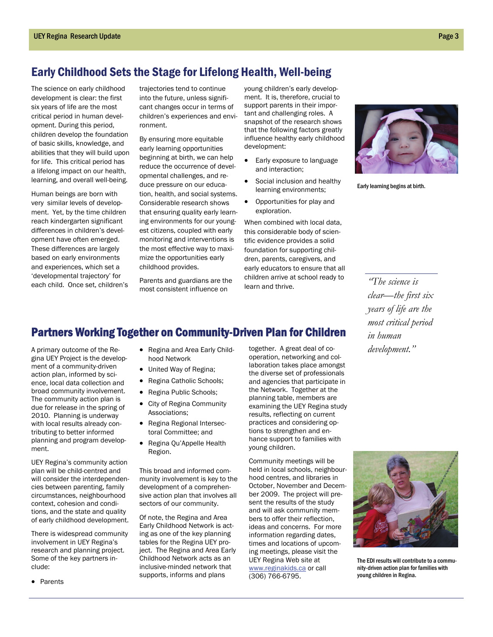## Early Childhood Sets the Stage for Lifelong Health, Well-being

The science on early childhood development is clear: the first six years of life are the most critical period in human development. During this period, children develop the foundation of basic skills, knowledge, and abilities that they will build upon for life. This critical period has a lifelong impact on our health, learning, and overall well-being.

Human beings are born with very similar levels of development. Yet, by the time children reach kindergarten significant differences in children's development have often emerged. These differences are largely based on early environments and experiences, which set a 'developmental trajectory' for each child. Once set, children's trajectories tend to continue into the future, unless significant changes occur in terms of children's experiences and environment.

By ensuring more equitable early learning opportunities beginning at birth, we can help reduce the occurrence of developmental challenges, and reduce pressure on our education, health, and social systems. Considerable research shows that ensuring quality early learning environments for our youngest citizens, coupled with early monitoring and interventions is the most effective way to maximize the opportunities early childhood provides.

Parents and guardians are the most consistent influence on

young children's early development. It is, therefore, crucial to support parents in their important and challenging roles. A snapshot of the research shows that the following factors greatly influence healthy early childhood development:

- Early exposure to language and interaction;
- Social inclusion and healthy learning environments;
- Opportunities for play and exploration.

When combined with local data, this considerable body of scientific evidence provides a solid foundation for supporting children, parents, caregivers, and early educators to ensure that all children arrive at school ready to learn and thrive.



Early learning begins at birth.

*"The science is clear—the first six years of life are the most critical period in human development."* 

# Partners Working Together on Community-Driven Plan for Children

A primary outcome of the Regina UEY Project is the development of a community-driven action plan, informed by science, local data collection and broad community involvement. The community action plan is due for release in the spring of 2010. Planning is underway with local results already contributing to better informed planning and program development.

UEY Regina's community action plan will be child-centred and will consider the interdependencies between parenting, family circumstances, neighbourhood context, cohesion and conditions, and the state and quality of early childhood development.

There is widespread community involvement in UEY Regina's research and planning project. Some of the key partners include:

• Parents

- Regina and Area Early Childhood Network
- United Way of Regina;
- Regina Catholic Schools;
- Regina Public Schools;
- City of Regina Community Associations;
- Regina Regional Intersectoral Committee; and
- Regina Qu'Appelle Health Region.

This broad and informed community involvement is key to the development of a comprehensive action plan that involves all sectors of our community.

Of note, the Regina and Area Early Childhood Network is acting as one of the key planning tables for the Regina UEY project. The Regina and Area Early Childhood Network acts as an inclusive-minded network that supports, informs and plans

together. A great deal of cooperation, networking and collaboration takes place amongst the diverse set of professionals and agencies that participate in the Network. Together at the planning table, members are examining the UEY Regina study results, reflecting on current practices and considering options to strengthen and enhance support to families with young children.

Community meetings will be held in local schools, neighbourhood centres, and libraries in October, November and December 2009. The project will present the results of the study and will ask community members to offer their reflection, ideas and concerns. For more information regarding dates, times and locations of upcoming meetings, please visit the UEY Regina Web site at www.reginakids.ca or call (306) 766-6795.



The EDI results will contribute to a community-driven action plan for families with young children in Regina.